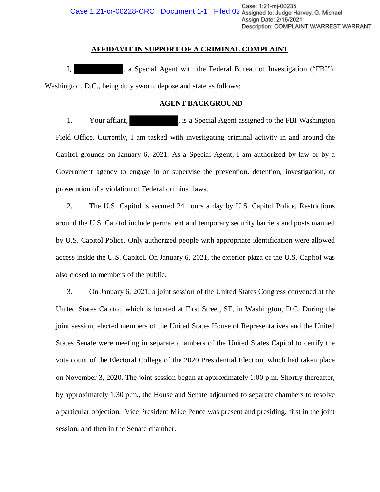### **AFFIDAVIT IN SUPPORT OF A CRIMINAL COMPLAINT**

I, a Special Agent with the Federal Bureau of Investigation ("FBI"), Washington, D.C., being duly sworn, depose and state as follows:

### **AGENT BACKGROUND**

1. Your affiant,  $\qquad \qquad$ , is a Special Agent assigned to the FBI Washington Field Office. Currently, I am tasked with investigating criminal activity in and around the Capitol grounds on January 6, 2021. As a Special Agent, I am authorized by law or by a Government agency to engage in or supervise the prevention, detention, investigation, or prosecution of a violation of Federal criminal laws.

2. The U.S. Capitol is secured 24 hours a day by U.S. Capitol Police. Restrictions around the U.S. Capitol include permanent and temporary security barriers and posts manned by U.S. Capitol Police. Only authorized people with appropriate identification were allowed access inside the U.S. Capitol. On January 6, 2021, the exterior plaza of the U.S. Capitol was also closed to members of the public.

3. On January 6, 2021, a joint session of the United States Congress convened at the United States Capitol, which is located at First Street, SE, in Washington, D.C. During the joint session, elected members of the United States House of Representatives and the United States Senate were meeting in separate chambers of the United States Capitol to certify the vote count of the Electoral College of the 2020 Presidential Election, which had taken place on November 3, 2020. The joint session began at approximately 1:00 p.m. Shortly thereafter, by approximately 1:30 p.m., the House and Senate adjourned to separate chambers to resolve a particular objection. Vice President Mike Pence was present and presiding, first in the joint session, and then in the Senate chamber. ument 1-1 Filed OZ Case: 1:21-m-00235<br>
Cassigned to: Judge H<br>
CAssigned to: Judge H<br>
Assign Date: 2/16/202<br>
Description: COMPLAINT<br>
(With the Federal Bureau of Investigat<br>
21. TOF A CRIMINAL COMPLAINT<br>
(With the Federal Bu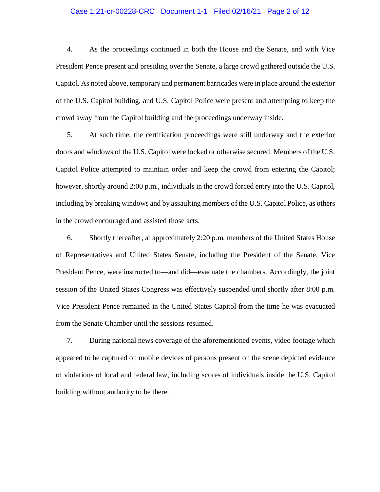### Case 1:21-cr-00228-CRC Document 1-1 Filed 02/16/21 Page 2 of 12

 4. As the proceedings continued in both the House and the Senate, and with Vice of the U.S. Capitol building, and U.S. Capitol Police were present and attempting to keep the crowd away from the Capitol building and the proceedings underway inside. President Pence present and presiding over the Senate, a large crowd gathered outside the U.S. Capitol. As noted above, temporary and permanent barricades were in place around the exterior

 however, shortly around 2:00 p.m., individuals in the crowd forced entry into the U.S. Capitol, 5. At such time, the certification proceedings were still underway and the exterior doors and windows of the U.S. Capitol were locked or otherwise secured. Members of the U.S. Capitol Police attempted to maintain order and keep the crowd from entering the Capitol; including by breaking windows and by assaulting members of the U.S. Capitol Police, as others in the crowd encouraged and assisted those acts.

6. Shortly thereafter, at approximately 2:20 p.m. members of the United States House of Representatives and United States Senate, including the President of the Senate, Vice President Pence, were instructed to—and did—evacuate the chambers. Accordingly, the joint session of the United States Congress was effectively suspended until shortly after 8:00 p.m. Vice President Pence remained in the United States Capitol from the time he was evacuated from the Senate Chamber until the sessions resumed.

 of violations of local and federal law, including scores of individuals inside the U.S. Capitol 7. During national news coverage of the aforementioned events, video footage which appeared to be captured on mobile devices of persons present on the scene depicted evidence building without authority to be there.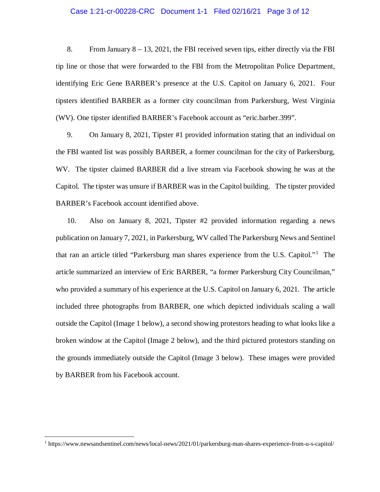### Case 1:21-cr-00228-CRC Document 1-1 Filed 02/16/21 Page 3 of 12

 8. From January 8 – 13, 2021, the FBI received seven tips, either directly via the FBI tip line or those that were forwarded to the FBI from the Metropolitan Police Department, identifying Eric Gene BARBER's presence at the U.S. Capitol on January 6, 2021. Four tipsters identified BARBER as a former city councilman from Parkersburg, West Virginia (WV). One tipster identified BARBER's Facebook account as "eric.barber.399".

 WV. The tipster claimed BARBER did a live stream via Facebook showing he was at the BARBER's Facebook account identified above. 9. On January 8, 2021, Tipster #1 provided information stating that an individual on the FBI wanted list was possibly BARBER, a former councilman for the city of Parkersburg, Capitol. The tipster was unsure if BARBER was in the Capitol building. The tipster provided

BARBER's Facebook account identified above.<br>10. Also on January 8, 2021, Tipster #2 provided information regarding a news publication on January 7, 2021, in Parkersburg, WV called The Parkersburg News and Sentinel that ran an article titled "Parkersburg man shares experience from the U.S. Capitol."1 The who provided a summary of his experience at the U.S. Capitol on January 6, 2021. The article outside the Capitol (Image 1 below), a second showing protestors heading to what looks like a by BARBER from his Facebook account. article summarized an interview of Eric BARBER, "a former Parkersburg City Councilman," included three photographs from BARBER, one which depicted individuals scaling a wall broken window at the Capitol (Image 2 below), and the third pictured protestors standing on the grounds immediately outside the Capitol (Image 3 below). These images were provided

 $\overline{a}$ 

 1 [https://www.newsandsentinel.com/news/local-news/2021/01/parkersburg-man-shares-experience-from-u-s-capitol/](https://www.newsandsentinel.com/news/local-news/2021/01/parkersburg-man-shares-experience-from-u-s-capitol)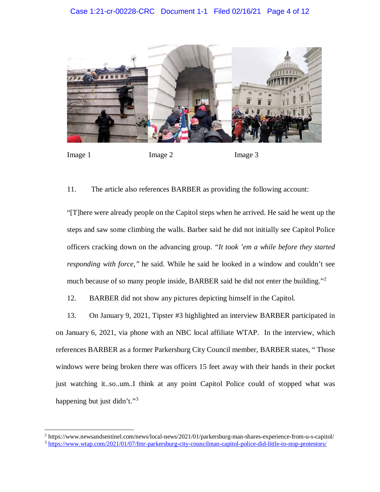

Image 1

 $\ddot{\phantom{a}}$ 

Image 2 Image 3

11. The article also references BARBER as providing the following account:

 "[T]here were already people on the Capitol steps when he arrived. He said he went up the *responding with force,"* he said. While he said he looked in a window and couldn't see much because of so many people inside, BARBER said he did not enter the building."<sup>2</sup> steps and saw some climbing the walls. Barber said he did not initially see Capitol Police officers cracking down on the advancing group. *"It took 'em a while before they started* 

BARBER did not show any pictures depicting himself in the Capitol. 12. BARBER did not show any pictures depicting himself in the Capitol.<br>13. On January 9, 2021, Tipster #3 highlighted an interview BARBER participated in

 references BARBER as a former Parkersburg City Council member, BARBER states, " Those on January 6, 2021, via phone with an NBC local affiliate WTAP. In the interview, which windows were being broken there was officers 15 feet away with their hands in their pocket just watching [it..so..um.](https://it..so..um).I think at any point Capitol Police could of stopped what was happening but just didn't."<sup>3</sup>

 $^2$  https://www.newsandsentinel.com/news/local-news/2021/01/parkersburg-man-shares-experience-from-u-s-capitol/ <sup>3</sup> [https://www.wtap.com/2021/01/07/fmr-parkersburg-city-councilman-capitol-police-did-little-to-stop-protestors/](https://www.wtap.com/2021/01/07/fmr-parkersburg-city-councilman-capitol-police-did-little-to-stop-protestors)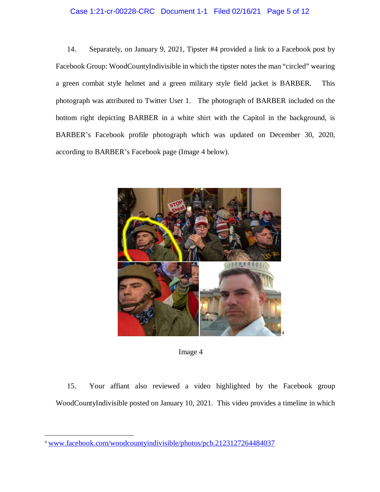### Case 1:21-cr-00228-CRC Document 1-1 Filed 02/16/21 Page 5 of 12

 14. Separately, on January 9, 2021, Tipster #4 provided a link to a Facebook post by a green combat style helmet and a green military style field jacket is BARBER. This photograph was attributed to Twitter User 1. The photograph of BARBER included on the Facebook Group: WoodCountyIndivisible in which the tipster notes the man "circled" wearing bottom right depicting BARBER in a white shirt with the Capitol in the background, is BARBER's Facebook profile photograph which was updated on December 30, 2020, according to BARBER's Facebook page (Image 4 below).





 WoodCountyIndivisible posted on January 10, 2021. This video provides a timeline in which 15. Your affiant also reviewed a video highlighted by the Facebook group

 $\ddot{\phantom{a}}$ 

<sup>4</sup> <www.facebook.com/woodcountyindivisible/photos/pcb.2123127264484037>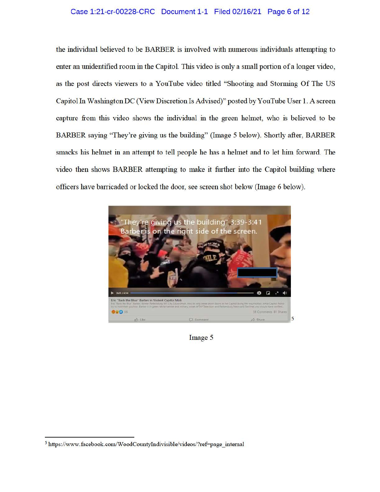## Case 1:21-cr-00228-CRC Document 1-1 Filed 02/16/21 Page 6 of 12

the individual believed to be BARBER is involved with numerous individuals attempting to enter an unidentified room in the Capitol. This video is only a small portion of a longer video, as the post directs viewers to a YouTube video titled "Shooting and Storming Of The US Capitol In Washington DC (View Discretion Is Advised)" posted by Y ouTube User 1. A screen capture from this video shows the individual in the green helmet, who is believed to be BARBER saying "They're giving us the building" (Image 5 below). Shortly after, BARBER smacks his helmet in an attempt to tell people he has a helmet and to let him forward. The video then shows BARBER attempting to make it farther into the Capitol building where officers have barricaded or locked the door, see screen shot below (Image 6 below).



Image 5

<sup>&</sup>lt;sup>5</sup> https://www.facebook.com/WoodCountyIndivisible/videos/?ref=page\_internal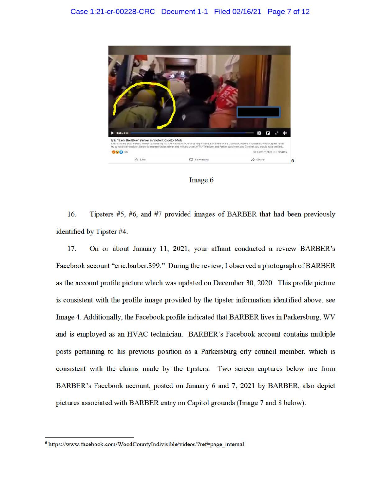



16. Tipsters #5, #6, and #7 provided images of BARBER that had been previously identified by Tipster #4.

17. On or about January 11, 2021, your affiant conducted a review BARBER's Facebook account "eric.barber.399." During the review, I observed a photograph of BARBER as the account profile picture which was updated on December 30, 2020. This profile picture is consistent with the profile image provided by the tipster information identified above, see Image 4. Additionally, the Facebook profile indicated that BARBER lives in Parkersburg, WV and is employed as an HVAC technician. BARBER's Facebook account contains multiple posts pertaining to his previous position as a Parkersburg city council member, which is consistent with the claims made by the tipsters. Two screen captures below are from BARBER's Facebook account, posted on January 6 and 7, 2021 by BARBER, also depict pictures associated with BARBER entiy on Capitol grounds (Image 7 and 8 below).

<sup>&</sup>lt;sup>6</sup> https://www.facebook.com/WoodCountyIndivisible/videos/?ref=page\_internal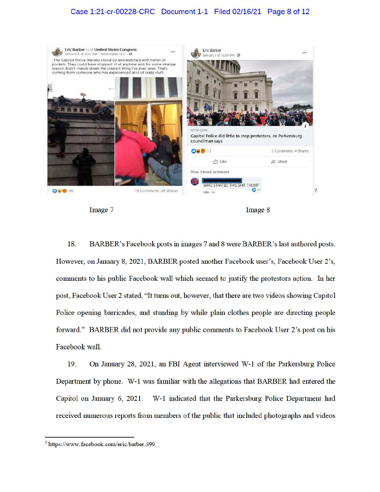## Case 1:21-cr-00228-CRC Document 1-1 Filed 02/16/21 Page 8 of 12



Image 7 Image 8

18. BARBER's Facebook posts in images 7 and 8 were BARBER's last authored posts. However, on January 8, 2021, BARBER posted another Facebook user's, Facebook User 2's, comments to his public Facebook wall which seemed to justify the protestors action. In her post, Facebook User 2 stated, "It tmns out, however, that there are two videos showing Capitol Police opening barricades, and standing by while plain clothes people are directing people forward." BARBER did not provide any public comments to Facebook User 2's post on his Facebook wall.

19. On January 28, 2021, an FBI Agent interviewed W-1 of the Parkersburg Police Department by phone. W-1 was familiar with the allegations that BARBER had entered the Capitol on January 6, 2021. W-1 indicated that the Parkersburg Police Department had received numerous reports from members of the public that included photographs and videos

<sup>&</sup>lt;sup>7</sup> https://www.facebook.com/eric.barber.399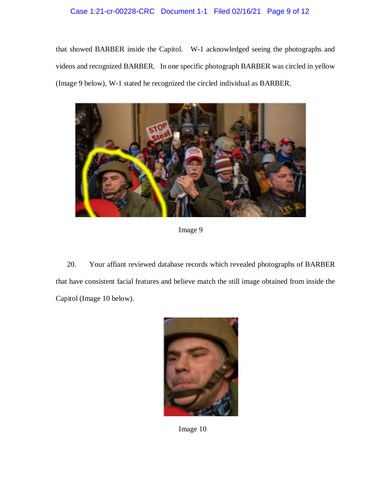## Case 1:21-cr-00228-CRC Document 1-1 Filed 02/16/21 Page 9 of 12

 that showed BARBER inside the Capitol. W-1 acknowledged seeing the photographs and videos and recognized BARBER. In one specific photograph BARBER was circled in yellow (Image 9 below), W-1 stated he recognized the circled individual as BARBER.



Image 9

 20. Your affiant reviewed database records which revealed photographs of BARBER that have consistent facial features and believe match the still image obtained from inside the Capitol (Image 10 below).



Image 10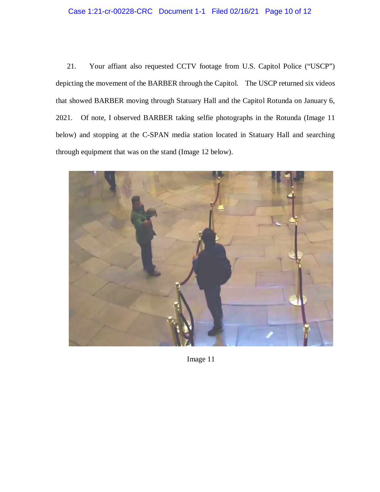# Case 1:21-cr-00228-CRC Document 1-1 Filed 02/16/21 Page 10 of 12

 depicting the movement of the BARBER through the Capitol. The USCP returned six videos 2021. through equipment that was on the stand (Image 12 below). 21. Your affiant also requested CCTV footage from U.S. Capitol Police ("USCP") that showed BARBER moving through Statuary Hall and the Capitol Rotunda on January 6, Of note, I observed BARBER taking selfie photographs in the Rotunda (Image 11 below) and stopping at the C-SPAN media station located in Statuary Hall and searching



Image 11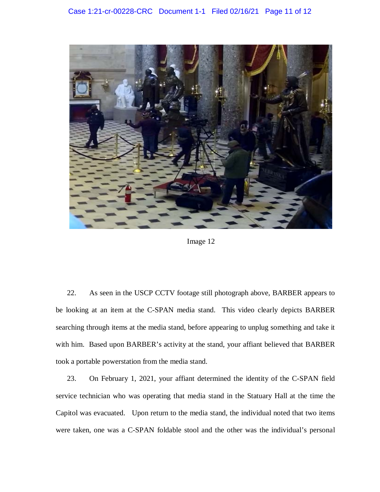

Image 12

 be looking at an item at the C-SPAN media stand. This video clearly depicts BARBER searching through items at the media stand, before appearing to unplug something and take it with him. Based upon BARBER's activity at the stand, your affiant believed that BARBER 22. As seen in the USCP CCTV footage still photograph above, BARBER appears to took a portable powerstation from the media stand.

 service technician who was operating that media stand in the Statuary Hall at the time the Capitol was evacuated. Upon return to the media stand, the individual noted that two items 23. On February 1, 2021, your affiant determined the identity of the C-SPAN field were taken, one was a C-SPAN foldable stool and the other was the individual's personal